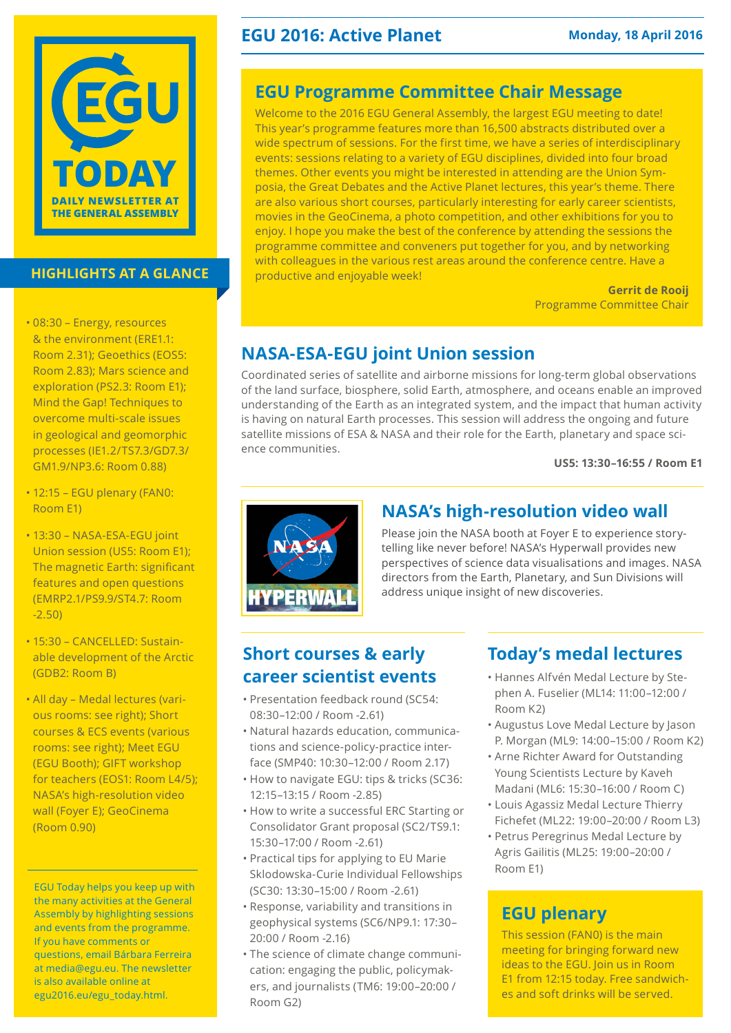

#### **HIGHLIGHTS AT A GLANCE**

- 08:30 Energy, resources & the environment (ERE1.1: Room 2.31); Geoethics (EOS5: Room 2.83); Mars science and exploration (PS2.3: Room E1); Mind the Gap! Techniques to overcome multi-scale issues in geological and geomorphic processes (IE1.2/TS7.3/GD7.3/ GM1.9/NP3.6: Room 0.88)
- 12:15 EGU plenary (FAN0: Room E1)
- 13:30 NASA-ESA-EGU joint Union session (US5: Room E1); The magnetic Earth: significant features and open questions (EMRP2.1/PS9.9/ST4.7: Room -2.50)
- 15:30 CANCELLED: Sustainable development of the Arctic (GDB2: Room B)
- All day Medal lectures (various rooms: see right); Short courses & ECS events (various rooms: see right); Meet EGU (EGU Booth); GIFT workshop for teachers (EOS1: Room L4/5); NASA's high-resolution video wall (Foyer E); GeoCinema (Room 0.90)

EGU Today helps you keep up with the many activities at the General Assembly by highlighting sessions and events from the programme. If you have comments or questions, email Bárbara Ferreira at media@egu.eu. The newsletter is also available online at [egu2016.eu/egu\\_today.html.](http://egu2016.eu/egu_today.html)

### **EGU 2016: Active Planet Monday, 18 April 2016**

# **EGU Programme Committee Chair Message**

Welcome to the 2016 EGU General Assembly, the largest EGU meeting to date! This year's programme features more than 16,500 abstracts distributed over a wide spectrum of sessions. For the first time, we have a series of interdisciplinary events: sessions relating to a variety of EGU disciplines, divided into four broad themes. Other events you might be interested in attending are the Union Symposia, the Great Debates and the Active Planet lectures, this year's theme. There are also various short courses, particularly interesting for early career scientists, movies in the GeoCinema, a photo competition, and other exhibitions for you to enjoy. I hope you make the best of the conference by attending the sessions the programme committee and conveners put together for you, and by networking with colleagues in the various rest areas around the conference centre. Have a productive and enjoyable week!

**Gerrit de Rooij** Programme Committee Chair

# **NASA-ESA-EGU joint Union session**

Coordinated series of satellite and airborne missions for long-term global observations of the land surface, biosphere, solid Earth, atmosphere, and oceans enable an improved understanding of the Earth as an integrated system, and the impact that human activity is having on natural Earth processes. This session will address the ongoing and future satellite missions of ESA & NASA and their role for the Earth, planetary and space science communities.

**US5: 13:30–16:55 / Room E1**



### **NASA's high-resolution video wall**

Please join the NASA booth at Foyer E to experience storytelling like never before! NASA's Hyperwall provides new perspectives of science data visualisations and images. NASA directors from the Earth, Planetary, and Sun Divisions will address unique insight of new discoveries.

### **Short courses & early career scientist events**

- Presentation feedback round (SC54: 08:30–12:00 / Room -2.61)
- Natural hazards education, communications and science-policy-practice interface (SMP40: 10:30–12:00 / Room 2.17)
- How to navigate EGU: tips & tricks (SC36: 12:15–13:15 / Room -2.85)
- How to write a successful ERC Starting or Consolidator Grant proposal (SC2/TS9.1: 15:30–17:00 / Room -2.61)
- Practical tips for applying to EU Marie Sklodowska-Curie Individual Fellowships (SC30: 13:30–15:00 / Room -2.61)
- Response, variability and transitions in geophysical systems (SC6/NP9.1: 17:30– 20:00 / Room -2.16)
- The science of climate change communication: engaging the public, policymakers, and journalists (TM6: 19:00–20:00 / Room G2)

## **Today's medal lectures**

- Hannes Alfvén Medal Lecture by Stephen A. Fuselier (ML14: 11:00–12:00 / Room K2)
- Augustus Love Medal Lecture by Jason P. Morgan (ML9: 14:00–15:00 / Room K2)
- Arne Richter Award for Outstanding Young Scientists Lecture by Kaveh Madani (ML6: 15:30–16:00 / Room C)
- Louis Agassiz Medal Lecture Thierry Fichefet (ML22: 19:00–20:00 / Room L3)
- Petrus Peregrinus Medal Lecture by Agris Gailitis (ML25: 19:00–20:00 / Room E1)

# **EGU plenary**

This session (FAN0) is the main meeting for bringing forward new ideas to the EGU. Join us in Room E1 from 12:15 today. Free sandwiches and soft drinks will be served.